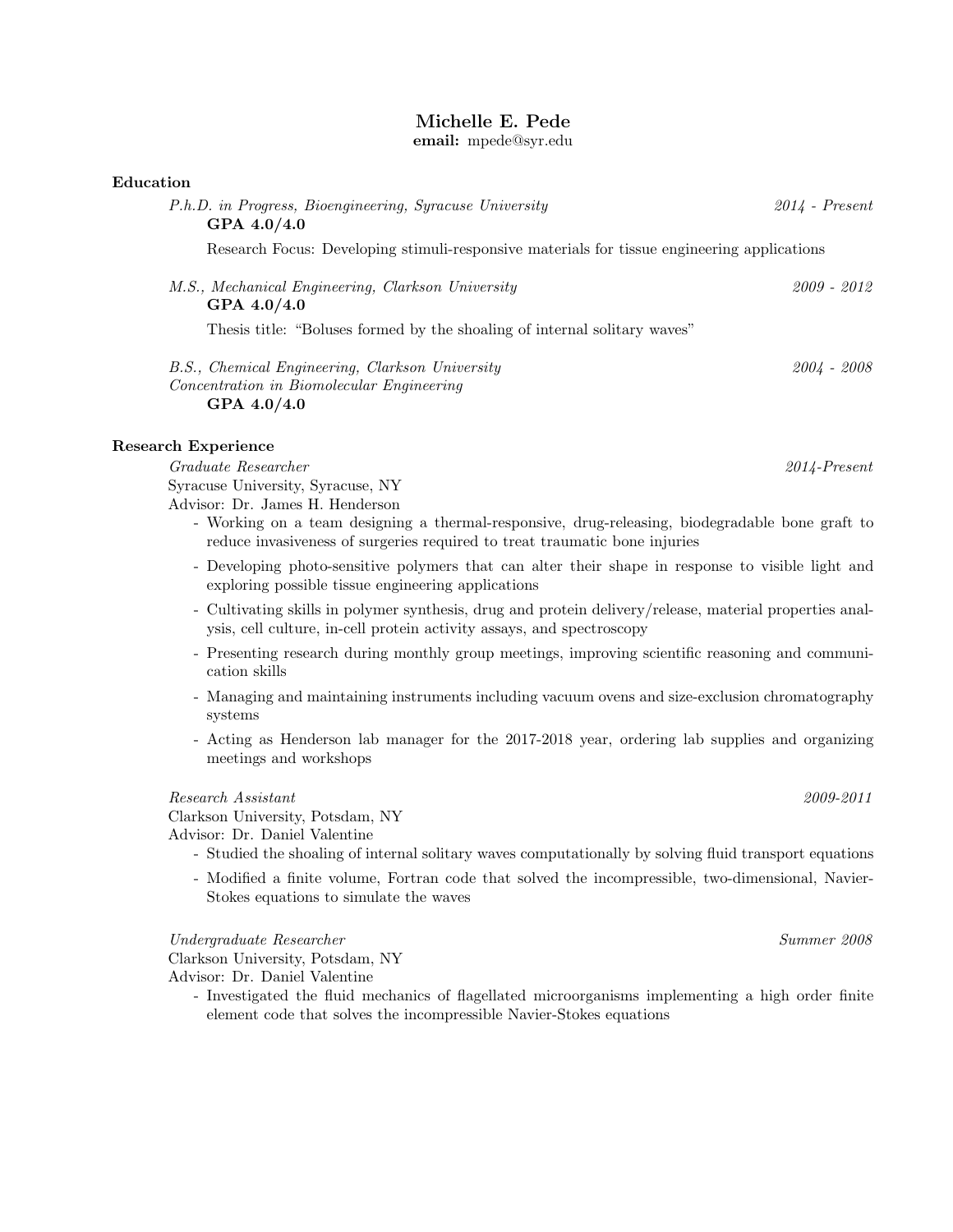# Michelle E. Pede

email: mpede@syr.edu

| Education                                                                                                            |                  |
|----------------------------------------------------------------------------------------------------------------------|------------------|
| P.h.D. in Progress, Bioengineering, Syracuse University<br>GPA $4.0/4.0$                                             | $2014$ - Present |
| Research Focus: Developing stimuli-responsive materials for tissue engineering applications                          |                  |
| M.S., Mechanical Engineering, Clarkson University<br>GPA $4.0/4.0$                                                   | 2009 - 2012      |
| Thesis title: "Boluses formed by the shoaling of internal solitary waves"                                            |                  |
| B.S., Chemical Engineering, Clarkson University<br><i>Concentration in Biomolecular Engineering</i><br>GPA $4.0/4.0$ | $2004 - 2008$    |
| Research Experience                                                                                                  |                  |
| Graduate Researcher                                                                                                  | $2014$ -Present  |

Syracuse University, Syracuse, NY Advisor: Dr. James H. Henderson

- Working on a team designing a thermal-responsive, drug-releasing, biodegradable bone graft to reduce invasiveness of surgeries required to treat traumatic bone injuries
- Developing photo-sensitive polymers that can alter their shape in response to visible light and exploring possible tissue engineering applications
- Cultivating skills in polymer synthesis, drug and protein delivery/release, material properties analysis, cell culture, in-cell protein activity assays, and spectroscopy
- Presenting research during monthly group meetings, improving scientific reasoning and communication skills
- Managing and maintaining instruments including vacuum ovens and size-exclusion chromatography systems
- Acting as Henderson lab manager for the 2017-2018 year, ordering lab supplies and organizing meetings and workshops

## Research Assistant 2009-2011

Clarkson University, Potsdam, NY

Advisor: Dr. Daniel Valentine

- Studied the shoaling of internal solitary waves computationally by solving fluid transport equations
- Modified a finite volume, Fortran code that solved the incompressible, two-dimensional, Navier-Stokes equations to simulate the waves

Undergraduate Researcher Summer 2008

Clarkson University, Potsdam, NY Advisor: Dr. Daniel Valentine

- Investigated the fluid mechanics of flagellated microorganisms implementing a high order finite element code that solves the incompressible Navier-Stokes equations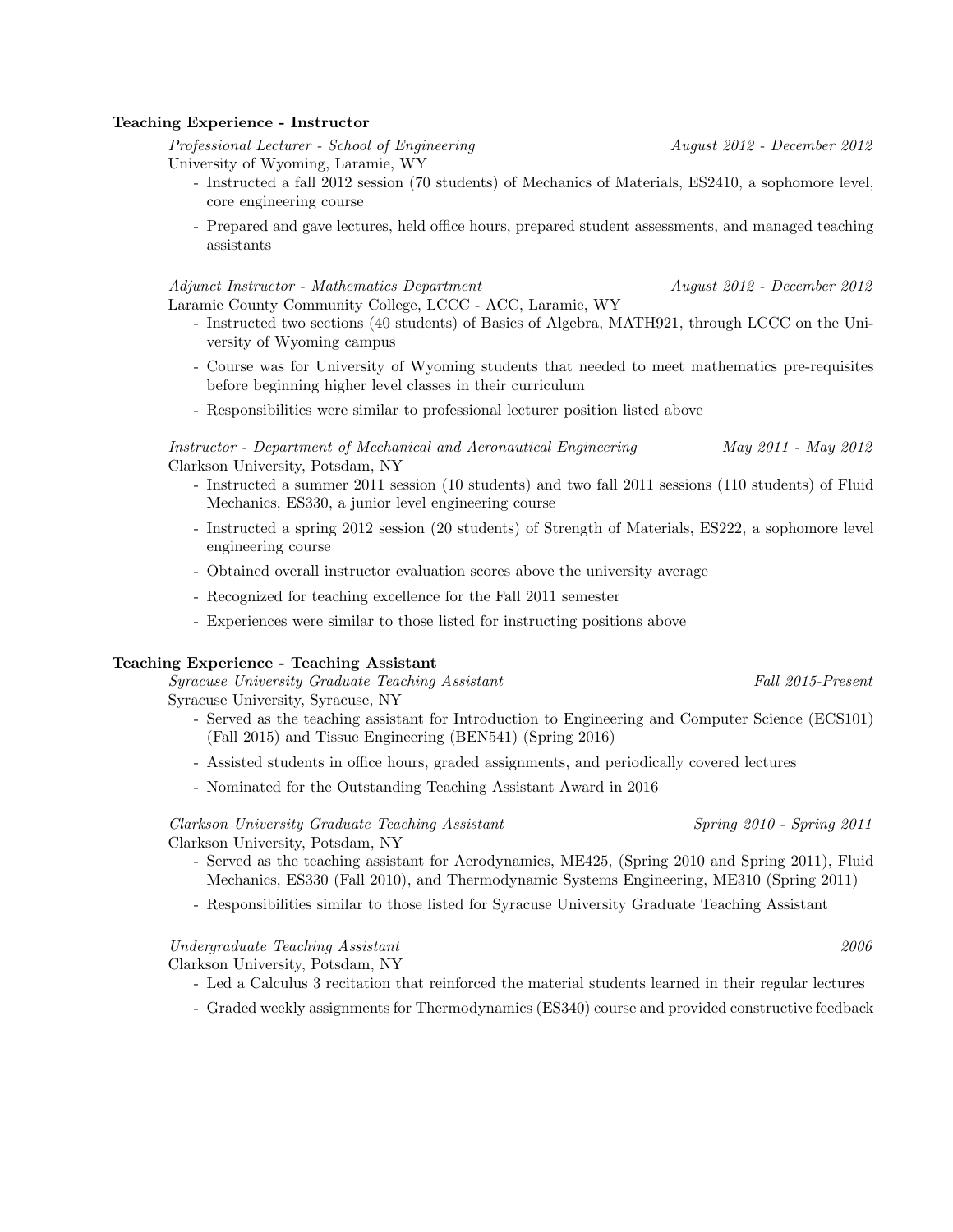#### Teaching Experience - Instructor

Professional Lecturer - School of Engineering August 2012 - December 2012 University of Wyoming, Laramie, WY

- Instructed a fall 2012 session (70 students) of Mechanics of Materials, ES2410, a sophomore level, core engineering course
- Prepared and gave lectures, held office hours, prepared student assessments, and managed teaching assistants

#### Adjunct Instructor - Mathematics Department August 2012 - December 2012

Laramie County Community College, LCCC - ACC, Laramie, WY

- Instructed two sections (40 students) of Basics of Algebra, MATH921, through LCCC on the University of Wyoming campus
- Course was for University of Wyoming students that needed to meet mathematics pre-requisites before beginning higher level classes in their curriculum
- Responsibilities were similar to professional lecturer position listed above

Instructor - Department of Mechanical and Aeronautical Engineering May 2011 - May 2012 Clarkson University, Potsdam, NY

- Instructed a summer 2011 session (10 students) and two fall 2011 sessions (110 students) of Fluid Mechanics, ES330, a junior level engineering course
- Instructed a spring 2012 session (20 students) of Strength of Materials, ES222, a sophomore level engineering course
- Obtained overall instructor evaluation scores above the university average
- Recognized for teaching excellence for the Fall 2011 semester
- Experiences were similar to those listed for instructing positions above

#### Teaching Experience - Teaching Assistant

Syracuse University Graduate Teaching Assistant Fall 2015-Present

Syracuse University, Syracuse, NY

- Served as the teaching assistant for Introduction to Engineering and Computer Science (ECS101) (Fall 2015) and Tissue Engineering (BEN541) (Spring 2016)
- Assisted students in office hours, graded assignments, and periodically covered lectures
- Nominated for the Outstanding Teaching Assistant Award in 2016

# Clarkson University Graduate Teaching Assistant Spring 2010 - Spring 2011

Clarkson University, Potsdam, NY

- Served as the teaching assistant for Aerodynamics, ME425, (Spring 2010 and Spring 2011), Fluid Mechanics, ES330 (Fall 2010), and Thermodynamic Systems Engineering, ME310 (Spring 2011)
- Responsibilities similar to those listed for Syracuse University Graduate Teaching Assistant

#### Undergraduate Teaching Assistant 2006

Clarkson University, Potsdam, NY

- Led a Calculus 3 recitation that reinforced the material students learned in their regular lectures
- Graded weekly assignments for Thermodynamics (ES340) course and provided constructive feedback